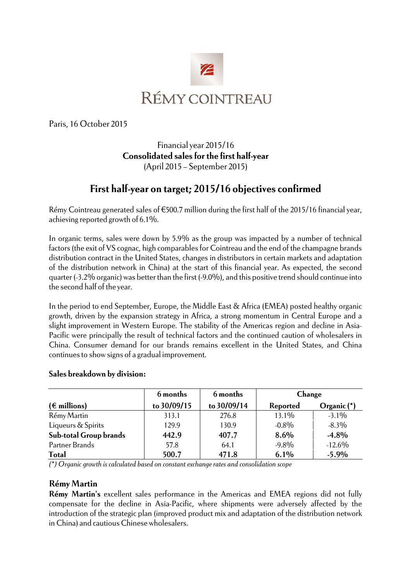

Paris, 16 October 2015

# Financial year 2015/16 **Consolidated sales for the first half-year**  (April 2015 – September 2015)

# **First half-year on target; 2015/16 objectives confirmed**

Rémy Cointreau generated sales of €500.7 million during the first half of the 2015/16 financial year, achieving reported growth of 6.1%.

In organic terms, sales were down by 5.9% as the group was impacted by a number of technical factors (the exit of VS cognac, high comparables for Cointreau and the end of the champagne brands distribution contract in the United States, changes in distributors in certain markets and adaptation of the distribution network in China) at the start of this financial year. As expected, the second quarter (-3.2% organic) was better than the first (-9.0%), and this positive trend should continue into the second half of the year.

In the period to end September, Europe, the Middle East & Africa (EMEA) posted healthy organic growth, driven by the expansion strategy in Africa, a strong momentum in Central Europe and a slight improvement in Western Europe. The stability of the Americas region and decline in Asia-Pacific were principally the result of technical factors and the continued caution of wholesalers in China. Consumer demand for our brands remains excellent in the United States, and China continues to show signs of a gradual improvement.

### **Sales breakdown by division:**

|                               | 6 months    | 6 months    | Change   |             |
|-------------------------------|-------------|-------------|----------|-------------|
| $(\epsilon$ millions)         | to 30/09/15 | to 30/09/14 | Reported | Organic (*) |
| Rémy Martin                   | 313.1       | 276.8       | 13.1%    | $-3.1\%$    |
| Liqueurs & Spirits            | 129.9       | 130.9       | $-0.8\%$ | $-8.3\%$    |
| <b>Sub-total Group brands</b> | 442.9       | 407.7       | 8.6%     | $-4.8%$     |
| Partner Brands                | 57.8        | 64.1        | $-9.8\%$ | $-12.6\%$   |
| <b>Total</b>                  | 500.7       | 471.8       | 6.1%     | $-5.9%$     |

*(\*) Organic growth is calculated based on constant exchange rates and consolidation scope* 

### **Rémy Martin**

**Rémy Martin's** excellent sales performance in the Americas and EMEA regions did not fully compensate for the decline in Asia-Pacific, where shipments were adversely affected by the introduction of the strategic plan (improved product mix and adaptation of the distribution network in China) and cautious Chinese wholesalers.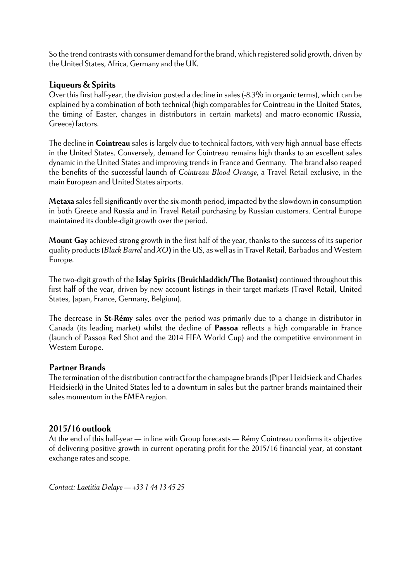So the trend contrasts with consumer demand for the brand, which registered solid growth, driven by the United States, Africa, Germany and the UK.

## **Liqueurs & Spirits**

Over this first half-year, the division posted a decline in sales (-8.3% in organic terms), which can be explained by a combination of both technical (high comparables for Cointreau in the United States, the timing of Easter, changes in distributors in certain markets) and macro-economic (Russia, Greece) factors.

The decline in **Cointreau** sales is largely due to technical factors, with very high annual base effects in the United States. Conversely, demand for Cointreau remains high thanks to an excellent sales dynamic in the United States and improving trends in France and Germany. The brand also reaped the benefits of the successful launch of *Cointreau Blood Orange*, a Travel Retail exclusive, in the main European and United States airports.

**Metaxa** sales fell significantly over the six-month period, impacted by the slowdown in consumption in both Greece and Russia and in Travel Retail purchasing by Russian customers. Central Europe maintained its double-digit growth over the period.

**Mount Gay** achieved strong growth in the first half of the year, thanks to the success of its superior quality products (*Black Barrel* and *XO***)** in the US, as well as in Travel Retail, Barbados and Western Europe.

The two-digit growth of the **Islay Spirits (Bruichladdich/The Botanist)** continued throughout this first half of the year, driven by new account listings in their target markets (Travel Retail, United States, Japan, France, Germany, Belgium).

The decrease in **St-Rémy** sales over the period was primarily due to a change in distributor in Canada (its leading market) whilst the decline of **Passoa** reflects a high comparable in France (launch of Passoa Red Shot and the 2014 FIFA World Cup) and the competitive environment in Western Europe.

## **Partner Brands**

The termination of the distribution contract for the champagne brands (Piper Heidsieck and Charles Heidsieck) in the United States led to a downturn in sales but the partner brands maintained their sales momentum in the EMEA region.

# **2015/16 outlook**

At the end of this half-year — in line with Group forecasts — Rémy Cointreau confirms its objective of delivering positive growth in current operating profit for the 2015/16 financial year, at constant exchange rates and scope.

*Contact: Laetitia Delaye — +33 1 44 13 45 25*